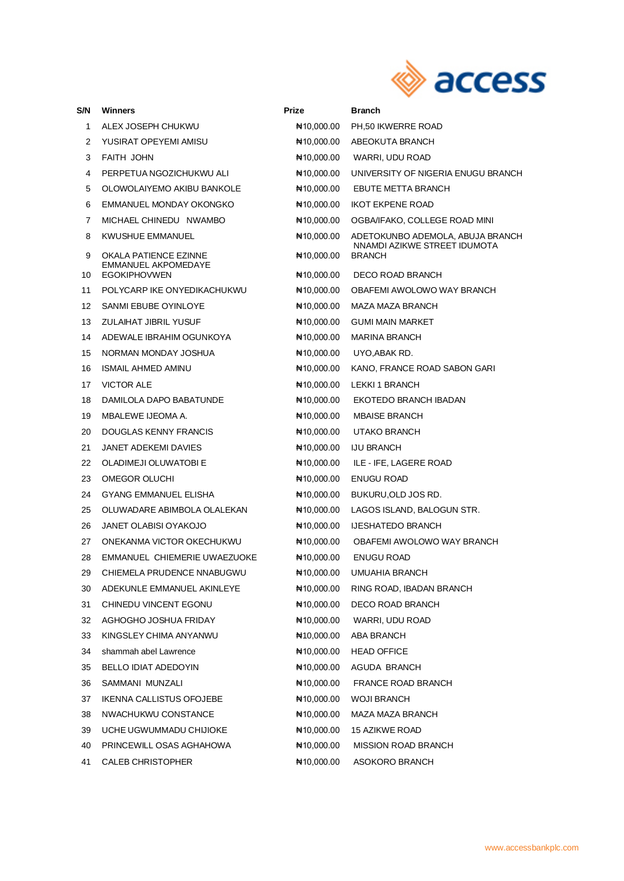

| S/N | Winners                                      | <b>Prize</b>        | Branch                                        |
|-----|----------------------------------------------|---------------------|-----------------------------------------------|
| 1   | ALEX JOSEPH CHUKWU                           | ₦10,000.00          | PH,50 IKWERRE ROAD                            |
| 2   | YUSIRAT OPEYEMI AMISU                        | ₦10,000.00          | ABEOKUTA BRANCH                               |
| 3   | FAITH JOHN                                   | ₦10,000.00          | WARRI, UDU ROAD                               |
| 4   | PERPETUA NGOZICHUKWU ALI                     | N10,000.00          | UNIVERSITY OF NIGERIA ENUGU BRANCH            |
| 5   | OLOWOLAIYEMO AKIBU BANKOLE                   | ₦10,000.00          | EBUTE METTA BRANCH                            |
| 6   | EMMANUEL MONDAY OKONGKO                      | ₦10,000.00          | <b>IKOT EKPENE ROAD</b>                       |
| 7   | MICHAEL CHINEDU NWAMBO                       | ₦10,000.00          | OGBA/IFAKO, COLLEGE ROAD MINI                 |
| 8   | <b>KWUSHUE EMMANUEL</b>                      | ₦10,000.00          | ADETOKUNBO ADEMOLA, ABUJA BRANCH              |
| 9   | OKALA PATIENCE EZINNE<br>EMMANUEL AKPOMEDAYE | ₦10,000.00          | NNAMDI AZIKWE STREET IDUMOTA<br><b>BRANCH</b> |
| 10  | <b>EGOKIPHOVWEN</b>                          | N#10,000.00         | DECO ROAD BRANCH                              |
| 11  | POLYCARP IKE ONYEDIKACHUKWU                  | N#10,000.00         | OBAFEMI AWOLOWO WAY BRANCH                    |
| 12  | SANMI EBUBE OYINLOYE                         | $\text{H}10,000.00$ | MAZA MAZA BRANCH                              |
| 13  | ZULAIHAT JIBRIL YUSUF                        | N#10,000.00         | <b>GUMI MAIN MARKET</b>                       |
| 14  | ADEWALE IBRAHIM OGUNKOYA                     | ₦10,000.00          | <b>MARINA BRANCH</b>                          |
| 15  | NORMAN MONDAY JOSHUA                         | N#10,000.00         | UYO,ABAK RD.                                  |
| 16  | <b>ISMAIL AHMED AMINU</b>                    | $\text{H}10,000.00$ | KANO, FRANCE ROAD SABON GARI                  |
| 17  | <b>VICTOR ALE</b>                            | ₦10,000.00          | LEKKI 1 BRANCH                                |
| 18  | DAMILOLA DAPO BABATUNDE                      | ₦10,000.00          | EKOTEDO BRANCH IBADAN                         |
| 19  | MBALEWE IJEOMA A.                            | N#10,000.00         | <b>MBAISE BRANCH</b>                          |
| 20  | DOUGLAS KENNY FRANCIS                        | N#10,000.00         | UTAKO BRANCH                                  |
| 21  | <b>JANET ADEKEMI DAVIES</b>                  | N#10,000.00         | <b>IJU BRANCH</b>                             |
| 22  | OLADIMEJI OLUWATOBI E                        | ₦10,000.00          | ILE - IFE, LAGERE ROAD                        |
| 23  | OMEGOR OLUCHI                                | N#10,000.00         | ENUGU ROAD                                    |
| 24  | <b>GYANG EMMANUEL ELISHA</b>                 | $\text{H}10,000.00$ | BUKURU, OLD JOS RD.                           |
| 25  | OLUWADARE ABIMBOLA OLALEKAN                  | N10,000.00          | LAGOS ISLAND, BALOGUN STR.                    |
| 26  | <b>JANET OLABISI OYAKOJO</b>                 | N#10,000.00         | <b>IJESHATEDO BRANCH</b>                      |
| 27  | ONEKANMA VICTOR OKECHUKWU                    | N10,000.00          | OBAFEMI AWOLOWO WAY BRANCH                    |
| 28  | EMMANUEL CHIEMERIE UWAEZUOKE                 | ₦10,000.00          | <b>ENUGU ROAD</b>                             |
| 29  | CHIEMELA PRUDENCE NNABUGWU                   |                     | NA10,000.00 UMUAHIA BRANCH                    |
| 30  | ADEKUNLE EMMANUEL AKINLEYE                   | N10,000.00          | RING ROAD, IBADAN BRANCH                      |
| 31  | CHINEDU VINCENT EGONU                        | ₦10,000.00          | DECO ROAD BRANCH                              |
| 32  | AGHOGHO JOSHUA FRIDAY                        | No 10,000.00        | WARRI, UDU ROAD                               |
| 33  | KINGSLEY CHIMA ANYANWU                       | No 10,000.00        | ABA BRANCH                                    |
| 34  | shammah abel Lawrence                        | N#10,000.00         | <b>HEAD OFFICE</b>                            |
| 35  | BELLO IDIAT ADEDOYIN                         | No 10,000.00        | AGUDA BRANCH                                  |
| 36  | SAMMANI MUNZALI                              | $\text{H}10,000.00$ | FRANCE ROAD BRANCH                            |
| 37  | <b>IKENNA CALLISTUS OFOJEBE</b>              | ₦10,000.00          | <b>WOJI BRANCH</b>                            |
| 38  | NWACHUKWU CONSTANCE                          | N#10,000.00         | MAZA MAZA BRANCH                              |
| 39  | UCHE UGWUMMADU CHIJIOKE                      | No 10,000.00        | 15 AZIKWE ROAD                                |
| 40  | PRINCEWILL OSAS AGHAHOWA                     | $\text{H}10,000.00$ | MISSION ROAD BRANCH                           |
| 41  | <b>CALEB CHRISTOPHER</b>                     | N#10,000.00         | ASOKORO BRANCH                                |